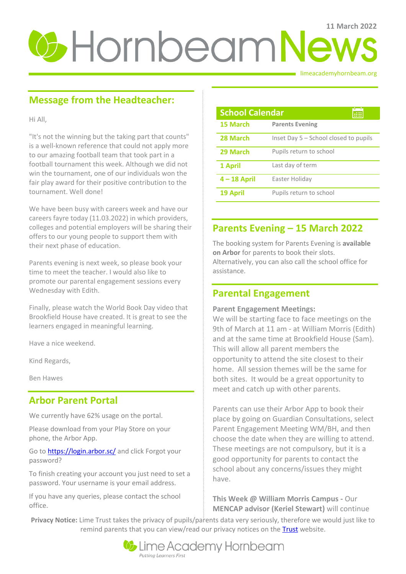# **U**-HornbeamNews

limeacademyhornbeam.org

# **Message from the Headteacher:**

Hi All,

"It's not the winning but the taking part that counts" is a well-known reference that could not apply more to our amazing football team that took part in a football tournament this week. Although we did not win the tournament, one of our individuals won the fair play award for their positive contribution to the tournament. Well done!

We have been busy with careers week and have our careers fayre today (11.03.2022) in which providers, colleges and potential employers will be sharing their offers to our young people to support them with their next phase of education.

Parents evening is next week, so please book your time to meet the teacher. I would also like to promote our parental engagement sessions every Wednesday with Edith.

Finally, please watch the World Book Day video that Brookfield House have created. It is great to see the learners engaged in meaningful learning.

Have a nice weekend.

Kind Regards,

Ben Hawes

## **Arbor Parent Portal**

We currently have 62% usage on the portal.

Please download from your Play Store on your phone, the Arbor App.

Go t[o https://login.arbor.sc/](https://login.arbor.sc/) and click Forgot your password?

To finish creating your account you just need to set a password. Your username is your email address.

If you have any queries, please contact the school office.

| <b>School Calendar</b> |                                       |
|------------------------|---------------------------------------|
| 15 March               | <b>Parents Evening</b>                |
| 28 March               | Inset Day 5 - School closed to pupils |
| 29 March               | Pupils return to school               |
| 1 April                | Last day of term                      |
| $4 - 18$ April         | Easter Holiday                        |
| <b>19 April</b>        | Pupils return to school               |

## **Parents Evening – 15 March 2022**

The booking system for Parents Evening is **available on Arbor** for parents to book their slots. Alternatively, you can also call the school office for assistance.

## **Parental Engagement**

#### **Parent Engagement Meetings:**

We will be starting face to face meetings on the 9th of March at 11 am - at William Morris (Edith) and at the same time at Brookfield House (Sam). This will allow all parent members the opportunity to attend the site closest to their home. All session themes will be the same for both sites. It would be a great opportunity to meet and catch up with other parents.

Parents can use their Arbor App to book their place by going on Guardian Consultations, select Parent Engagement Meeting WM/BH, and then choose the date when they are willing to attend. These meetings are not compulsory, but it is a good opportunity for parents to contact the school about any concerns/issues they might have.

**This Week @ William Morris Campus -** Our **MENCAP advisor (Keriel Stewart)** will continue

**Privacy Notice:** Lime Trust takes the privacy of pupils/parents data very seriously, therefore we would just like to remind parents that you can view/read our privacy notices on the **Trust** website.

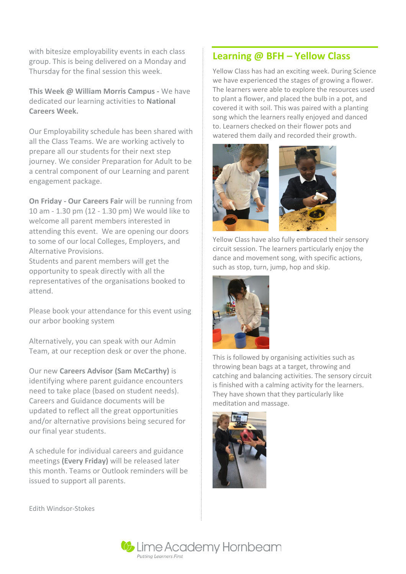with bitesize employability events in each class group. This is being delivered on a Monday and Thursday for the final session this week.

**This Week @ William Morris Campus -** We have dedicated our learning activities to **National Careers Week.**

Our Employability schedule has been shared with all the Class Teams. We are working actively to prepare all our students for their next step journey. We consider Preparation for Adult to be a central component of our Learning and parent engagement package.

**On Friday - Our Careers Fair** will be running from 10 am - 1.30 pm (12 - 1.30 pm) We would like to welcome all parent members interested in attending this event. We are opening our doors to some of our local Colleges, Employers, and Alternative Provisions.

Students and parent members will get the opportunity to speak directly with all the representatives of the organisations booked to attend.

Please book your attendance for this event using our arbor booking system

Alternatively, you can speak with our Admin Team, at our reception desk or over the phone.

Our new **Careers Advisor (Sam McCarthy)** is identifying where parent guidance encounters need to take place (based on student needs). Careers and Guidance documents will be updated to reflect all the great opportunities and/or alternative provisions being secured for our final year students.

A schedule for individual careers and guidance meetings **(Every Friday)** will be released later this month. Teams or Outlook reminders will be issued to support all parents.

### **Learning @ BFH – Yellow Class**

Yellow Class has had an exciting week. During Science we have experienced the stages of growing a flower. The learners were able to explore the resources used to plant a flower, and placed the bulb in a pot, and covered it with soil. This was paired with a planting song which the learners really enjoyed and danced to. Learners checked on their flower pots and watered them daily and recorded their growth.



Yellow Class have also fully embraced their sensory circuit session. The learners particularly enjoy the dance and movement song, with specific actions, such as stop, turn, jump, hop and skip.



This is followed by organising activities such as throwing bean bags at a target, throwing and catching and balancing activities. The sensory circuit is finished with a calming activity for the learners. They have shown that they particularly like meditation and massage.



Edith Windsor-Stokes